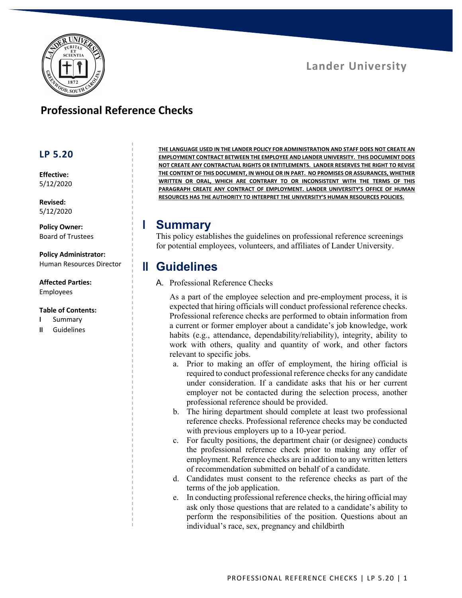

## **Lander University**

## **Professional Reference Checks**

### **LP 5.20**

**Effective:** 5/12/2020

**Revised:** 5/12/2020

**Policy Owner:** Board of Trustees

**Policy Administrator:** Human Resources Director

**Affected Parties:** Employees

#### **Table of Contents:**

- **I** Summary
- **II** Guidelines

**THE LANGUAGE USED IN THE LANDER POLICY FOR ADMINISTRATION AND STAFF DOES NOT CREATE AN EMPLOYMENT CONTRACT BETWEEN THE EMPLOYEE AND LANDER UNIVERSITY. THIS DOCUMENT DOES NOT CREATE ANY CONTRACTUAL RIGHTS OR ENTITLEMENTS. LANDER RESERVES THE RIGHT TO REVISE THE CONTENT OF THIS DOCUMENT, IN WHOLE OR IN PART. NO PROMISES OR ASSURANCES, WHETHER WRITTEN OR ORAL, WHICH ARE CONTRARY TO OR INCONSISTENT WITH THE TERMS OF THIS PARAGRAPH CREATE ANY CONTRACT OF EMPLOYMENT. LANDER UNIVERSITY'S OFFICE OF HUMAN RESOURCES HAS THE AUTHORITY TO INTERPRET THE UNIVERSITY'S HUMAN RESOURCES POLICIES.**

## **I Summary**

This policy establishes the guidelines on professional reference screenings for potential employees, volunteers, and affiliates of Lander University.

## **II Guidelines**

### A. Professional Reference Checks

As a part of the employee selection and pre-employment process, it is expected that hiring officials will conduct professional reference checks. Professional reference checks are performed to obtain information from a current or former employer about a candidate's job knowledge, work habits (e.g., attendance, dependability/reliability), integrity, ability to work with others, quality and quantity of work, and other factors relevant to specific jobs.

- a. Prior to making an offer of employment, the hiring official is required to conduct professional reference checks for any candidate under consideration. If a candidate asks that his or her current employer not be contacted during the selection process, another professional reference should be provided.
- b. The hiring department should complete at least two professional reference checks. Professional reference checks may be conducted with previous employers up to a 10-year period.
- c. For faculty positions, the department chair (or designee) conducts the professional reference check prior to making any offer of employment. Reference checks are in addition to any written letters of recommendation submitted on behalf of a candidate.
- d. Candidates must consent to the reference checks as part of the terms of the job application.
- e. In conducting professional reference checks, the hiring official may ask only those questions that are related to a candidate's ability to perform the responsibilities of the position. Questions about an individual's race, sex, pregnancy and childbirth